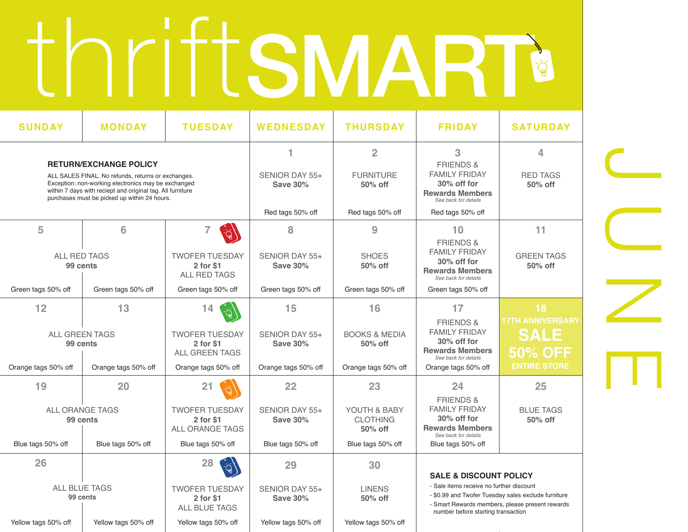# thriftsmart

| <b>SUNDAY</b>                                                                                                                                                                                                                                            | <b>MONDAY</b>       | <b>TUESDAY</b>                                             | <b>WEDNESDAY</b>                        | <b>THURSDAY</b>                                                                                                                                                                          | <b>FRIDAY</b>                                                                                                      | <b>SATURDAY</b>                                         |
|----------------------------------------------------------------------------------------------------------------------------------------------------------------------------------------------------------------------------------------------------------|---------------------|------------------------------------------------------------|-----------------------------------------|------------------------------------------------------------------------------------------------------------------------------------------------------------------------------------------|--------------------------------------------------------------------------------------------------------------------|---------------------------------------------------------|
| <b>RETURN/EXCHANGE POLICY</b><br>ALL SALES FINAL. No refunds, returns or exchanges.<br>Exception: non-working electronics may be exchanged<br>within 7 days with reciept and original tag. All furniture<br>purchases must be picked up within 24 hours. |                     |                                                            | 1<br>SENIOR DAY 55+<br><b>Save 30%</b>  | $\overline{2}$<br><b>FURNITURE</b><br>50% off                                                                                                                                            | 3<br><b>FRIENDS &amp;</b><br><b>FAMILY FRIDAY</b><br>30% off for<br><b>Rewards Members</b><br>See back for details | 4<br><b>RED TAGS</b><br>50% off                         |
|                                                                                                                                                                                                                                                          |                     |                                                            | Red tags 50% off                        | Red tags 50% off                                                                                                                                                                         | Red tags 50% off                                                                                                   |                                                         |
| 5                                                                                                                                                                                                                                                        | 6                   | 7                                                          | 8                                       | 9                                                                                                                                                                                        | 10<br><b>FRIENDS &amp;</b>                                                                                         | 11                                                      |
| <b>ALL RED TAGS</b><br>99 cents                                                                                                                                                                                                                          |                     | <b>TWOFER TUESDAY</b><br>2 for \$1<br>ALL RED TAGS         | SENIOR DAY 55+<br><b>Save 30%</b>       | <b>SHOES</b><br>50% off                                                                                                                                                                  | <b>FAMILY FRIDAY</b><br>$30\%$ off for<br><b>Rewards Members</b><br>See back for details                           | <b>GREEN TAGS</b><br>50% off                            |
| Green tags 50% off                                                                                                                                                                                                                                       | Green tags 50% off  | Green tags 50% off                                         | Green tags 50% off                      | Green tags 50% off                                                                                                                                                                       | Green tags 50% off                                                                                                 |                                                         |
| 12<br>13<br><b>ALL GREEN TAGS</b><br>99 cents                                                                                                                                                                                                            |                     | 14<br><b>TWOFER TUESDAY</b><br>2 for \$1<br>ALL GREEN TAGS | 15<br>SENIOR DAY 55+<br><b>Save 30%</b> | 16<br><b>BOOKS &amp; MEDIA</b><br>50% off                                                                                                                                                | 17<br><b>FRIENDS &amp;</b><br><b>FAMILY FRIDAY</b><br>30% off for<br><b>Rewards Members</b>                        | 18<br><b>17TH ANNIVERSARY</b><br><b>SALE</b><br>50% OFF |
| Orange tags 50% off                                                                                                                                                                                                                                      | Orange tags 50% off | Orange tags 50% off                                        | Orange tags 50% off                     | Orange tags 50% off                                                                                                                                                                      | See back for details<br>Orange tags 50% off                                                                        | <b>ENTIRE STORE</b>                                     |
| 19                                                                                                                                                                                                                                                       | 20                  | 21                                                         | 22                                      | 23                                                                                                                                                                                       | 24<br><b>FRIENDS &amp;</b>                                                                                         | 25                                                      |
| ALL ORANGE TAGS<br>99 cents                                                                                                                                                                                                                              |                     | <b>TWOFER TUESDAY</b><br>2 for \$1<br>ALL ORANGE TAGS      | SENIOR DAY 55+<br><b>Save 30%</b>       | YOUTH & BABY<br><b>CLOTHING</b><br>50% off                                                                                                                                               | <b>FAMILY FRIDAY</b><br>30% off for<br><b>Rewards Members</b><br>See back for details                              | <b>BLUE TAGS</b><br>50% off                             |
| Blue tags 50% off                                                                                                                                                                                                                                        | Blue tags 50% off   | Blue tags 50% off                                          | Blue tags 50% off                       | Blue tags 50% off                                                                                                                                                                        | Blue tags 50% off                                                                                                  |                                                         |
| 26                                                                                                                                                                                                                                                       |                     | 28                                                         | 29                                      | 30                                                                                                                                                                                       | <b>SALE &amp; DISCOUNT POLICY</b>                                                                                  |                                                         |
| <b>ALL BLUE TAGS</b><br><b>TWOFER TUESDAY</b><br>99 cents<br>2 for \$1<br><b>ALL BLUE TAGS</b>                                                                                                                                                           |                     | SENIOR DAY 55+<br><b>Save 30%</b>                          | <b>LINENS</b><br>50% off                | - Sale items receive no further discount<br>- \$0.99 and Twofer Tuesday sales exclude furniture<br>- Smart Rewards members, please present rewards<br>number before starting transaction |                                                                                                                    |                                                         |
| Yellow tags 50% off                                                                                                                                                                                                                                      | Yellow tags 50% off | Yellow tags 50% off                                        | Yellow tags 50% off                     | Yellow tags 50% off                                                                                                                                                                      |                                                                                                                    |                                                         |

JUNE